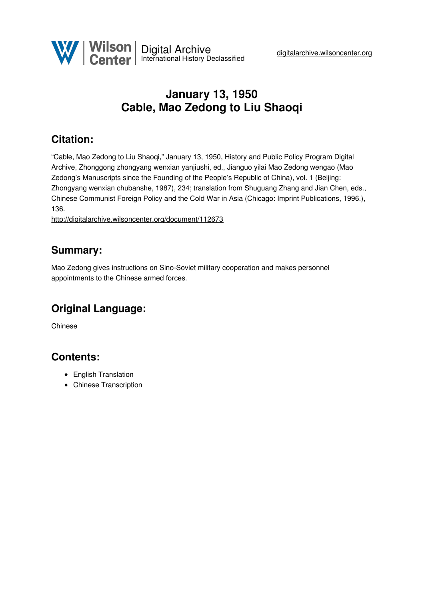

# <span id="page-0-4"></span><span id="page-0-3"></span>**January 13, 1950 Cable, Mao Zedong to Liu Shaoqi**

## <span id="page-0-5"></span>**Citation:**

<span id="page-0-0"></span>"Cable, Mao Zedong to Liu Shaoqi," January 13, 1950, History and Public Policy Program Digital Archive, Zhonggong zhongyang wenxian yanjiushi, ed., Jianguo yilai Mao Zedong wengao (Mao Zedong's Manuscripts since the Founding of the People's Republic of China), vol. 1 (Beijing: Zhongyang wenxian chubanshe, 1987), 234; translation from Shuguang Zhang and Jian Chen, eds., Chinese Communist Foreign Policy and the Cold War in Asia (Chicago: Imprint Publications, 1996.), 136.

<span id="page-0-2"></span><span id="page-0-1"></span><http://digitalarchive.wilsoncenter.org/document/112673>

### **Summary:**

Mao Zedong gives instructions on Sino-Soviet military cooperation and makes personnel appointments to the Chinese armed forces.

## **Original Language:**

Chinese

### **Contents:**

- English Translation
- Chinese Transcription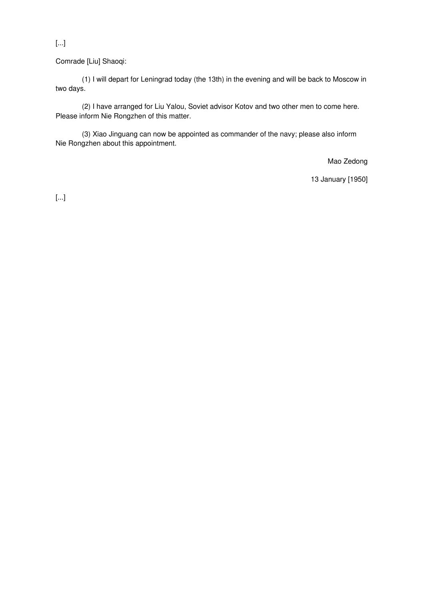[...]

Comrade [Liu] Shaoqi:

(1) I will depart for Leningrad today (the 13th) in the evening and will be back to Moscow in two days.

(2) I have arranged for Liu Yalou, Soviet advisor Kotov and two other men to come here. Please inform Nie Rongzhen of this matter.

(3) Xiao Jinguang can now be appointed as commander of the navy; please also inform Nie Rongzhen about this appointment.

Mao Zedong

13 January [1950]

[...]